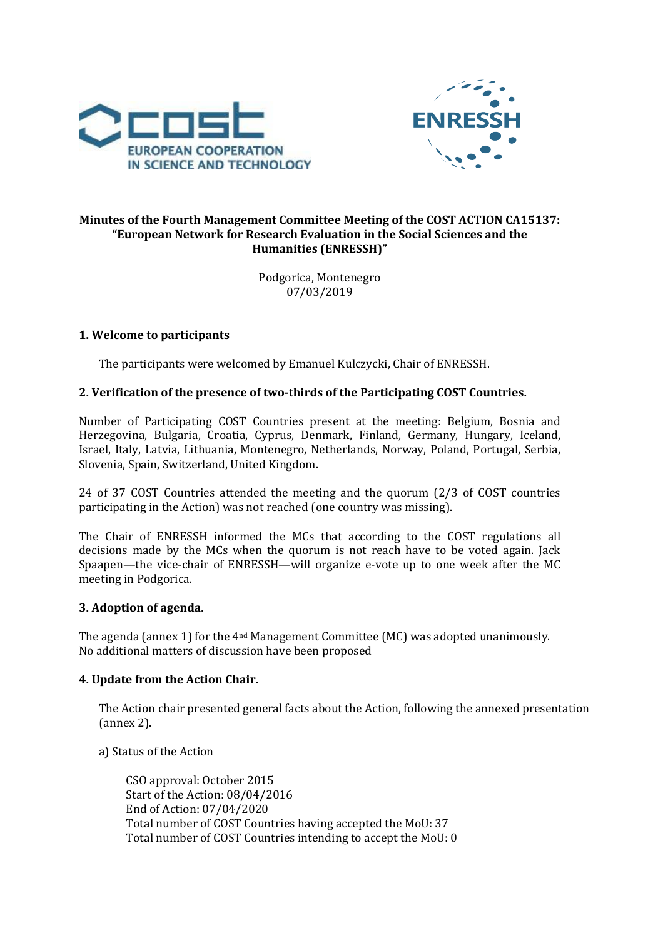



# Minutes of the Fourth Management Committee Meeting of the COST ACTION CA15137: "European Network for Research Evaluation in the Social Sciences and the **Humanities (ENRESSH)"**

Podgorica, Montenegro 07/03/2019

# **1. Welcome to participants**

The participants were welcomed by Emanuel Kulczycki, Chair of ENRESSH.

# **2. Verification of the presence of two-thirds of the Participating COST Countries.**

Number of Participating COST Countries present at the meeting: Belgium, Bosnia and Herzegovina, Bulgaria, Croatia, Cyprus, Denmark, Finland, Germany, Hungary, Iceland, Israel, Italy, Latvia, Lithuania, Montenegro, Netherlands, Norway, Poland, Portugal, Serbia, Slovenia, Spain, Switzerland, United Kingdom.

24 of 37 COST Countries attended the meeting and the quorum (2/3 of COST countries participating in the Action) was not reached (one country was missing).

The Chair of ENRESSH informed the MCs that according to the COST regulations all decisions made by the MCs when the quorum is not reach have to be voted again. Jack Spaapen—the vice-chair of ENRESSH—will organize e-vote up to one week after the MC meeting in Podgorica.

#### **3. Adoption of agenda.**

The agenda (annex 1) for the  $4<sup>nd</sup>$  Management Committee (MC) was adopted unanimously. No additional matters of discussion have been proposed

# **4.** Update from the Action Chair.

The Action chair presented general facts about the Action, following the annexed presentation (annex 2).

a) Status of the Action

CSO approval: October 2015 Start of the Action: 08/04/2016 End of Action: 07/04/2020 Total number of COST Countries having accepted the MoU: 37 Total number of COST Countries intending to accept the MoU: 0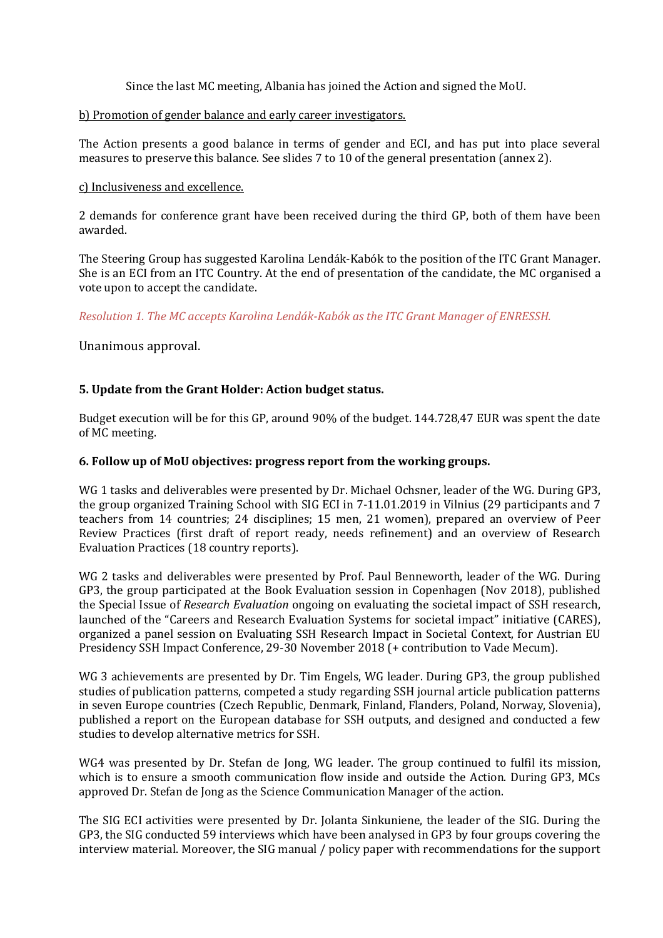Since the last MC meeting, Albania has joined the Action and signed the MoU.

## b) Promotion of gender balance and early career investigators.

The Action presents a good balance in terms of gender and ECI, and has put into place several measures to preserve this balance. See slides 7 to 10 of the general presentation (annex 2).

## c) Inclusiveness and excellence.

2 demands for conference grant have been received during the third GP, both of them have been awarded. 

The Steering Group has suggested Karolina Lendák-Kabók to the position of the ITC Grant Manager. She is an ECI from an ITC Country. At the end of presentation of the candidate, the MC organised a vote upon to accept the candidate.

*Resolution 1. The MC accepts Karolina Lendák-Kabók as the ITC Grant Manager of ENRESSH.*

Unanimous approval.

## **5.** Update from the Grant Holder: Action budget status.

Budget execution will be for this GP, around 90% of the budget. 144.728,47 EUR was spent the date of MC meeting.

## **6. Follow up of MoU objectives: progress report from the working groups.**

WG 1 tasks and deliverables were presented by Dr. Michael Ochsner, leader of the WG. During GP3, the group organized Training School with SIG ECI in 7-11.01.2019 in Vilnius (29 participants and 7 teachers from 14 countries; 24 disciplines; 15 men, 21 women), prepared an overview of Peer Review Practices (first draft of report ready, needs refinement) and an overview of Research Evaluation Practices (18 country reports).

WG 2 tasks and deliverables were presented by Prof. Paul Benneworth, leader of the WG. During GP3, the group participated at the Book Evaluation session in Copenhagen (Nov 2018), published the Special Issue of *Research Evaluation* ongoing on evaluating the societal impact of SSH research, launched of the "Careers and Research Evaluation Systems for societal impact" initiative (CARES), organized a panel session on Evaluating SSH Research Impact in Societal Context, for Austrian EU Presidency SSH Impact Conference, 29-30 November 2018 (+ contribution to Vade Mecum).

WG 3 achievements are presented by Dr. Tim Engels, WG leader. During GP3, the group published studies of publication patterns, competed a study regarding SSH journal article publication patterns in seven Europe countries (Czech Republic, Denmark, Finland, Flanders, Poland, Norway, Slovenia), published a report on the European database for SSH outputs, and designed and conducted a few studies to develop alternative metrics for SSH.

WG4 was presented by Dr. Stefan de Jong, WG leader. The group continued to fulfil its mission, which is to ensure a smooth communication flow inside and outside the Action. During GP3, MCs approved Dr. Stefan de Jong as the Science Communication Manager of the action.

The SIG ECI activities were presented by Dr. Jolanta Sinkuniene, the leader of the SIG. During the GP3, the SIG conducted 59 interviews which have been analysed in GP3 by four groups covering the interview material. Moreover, the SIG manual / policy paper with recommendations for the support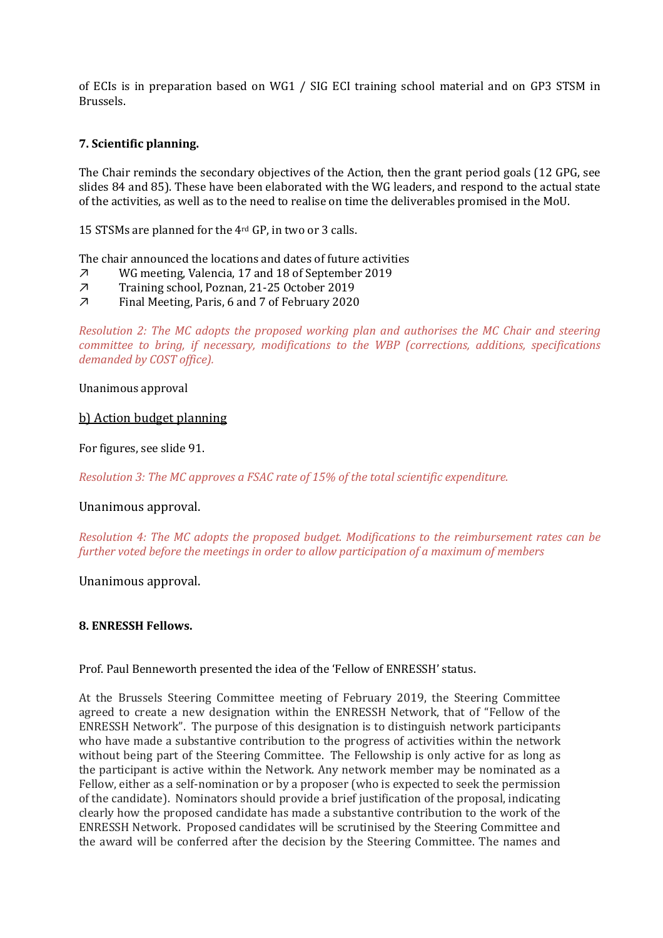of ECIs is in preparation based on WG1 / SIG ECI training school material and on GP3 STSM in Brussels.

# **7. Scientific planning.**

The Chair reminds the secondary objectives of the Action, then the grant period goals (12 GPG, see slides 84 and 85). These have been elaborated with the WG leaders, and respond to the actual state of the activities, as well as to the need to realise on time the deliverables promised in the MoU.

15 STSMs are planned for the 4<sup>rd</sup> GP, in two or 3 calls.

The chair announced the locations and dates of future activities

- ↗ WG meeting, Valencia, 17 and 18 of September 2019
- ↗ Training school, Poznan, 21-25 October 2019
- ↗ Final Meeting, Paris, 6 and 7 of February 2020

*Resolution 2: The MC adopts the proposed working plan and authorises the MC Chair and steering committee to bring, if necessary, modifications to the WBP (corrections, additions, specifications* demanded by COST office).

Unanimous approval

#### b) Action budget planning

For figures, see slide 91.

*Resolution 3: The MC approves a FSAC rate of 15% of the total scientific expenditure.* 

#### Unanimous approval.

*Resolution 4: The MC adopts the proposed budget. Modifications to the reimbursement rates can be further voted before the meetings in order to allow participation of a maximum of members* 

Unanimous approval.

#### 8. **ENRESSH Fellows.**

Prof. Paul Benneworth presented the idea of the 'Fellow of ENRESSH' status.

At the Brussels Steering Committee meeting of February 2019, the Steering Committee agreed to create a new designation within the ENRESSH Network, that of "Fellow of the ENRESSH Network". The purpose of this designation is to distinguish network participants who have made a substantive contribution to the progress of activities within the network without being part of the Steering Committee. The Fellowship is only active for as long as the participant is active within the Network. Any network member may be nominated as a Fellow, either as a self-nomination or by a proposer (who is expected to seek the permission of the candidate). Nominators should provide a brief justification of the proposal, indicating clearly how the proposed candidate has made a substantive contribution to the work of the ENRESSH Network. Proposed candidates will be scrutinised by the Steering Committee and the award will be conferred after the decision by the Steering Committee. The names and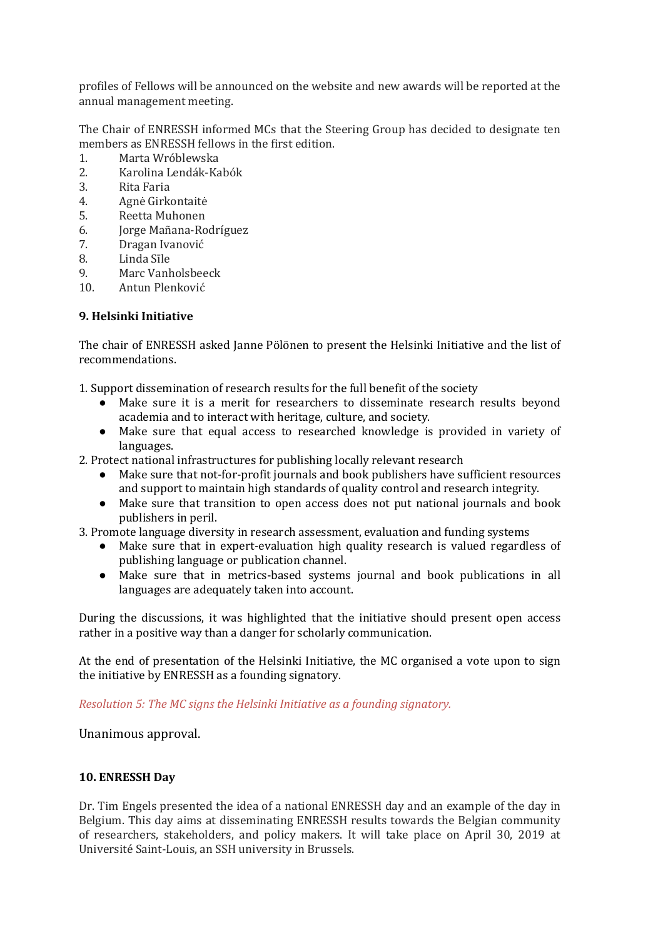profiles of Fellows will be announced on the website and new awards will be reported at the annual management meeting.

The Chair of ENRESSH informed MCs that the Steering Group has decided to designate ten members as ENRESSH fellows in the first edition.

- 1. Marta Wróblewska
- 2. Karolina Lendák-Kabók
- 3. Rita Faria
- 4. Agnė Girkontaitė
- 5. Reetta Muhonen
- 6. Jorge Mañana-Rodríguez
- 7. Dragan Ivanović
- 8. Linda Sīle
- 9. Marc Vanholsbeeck
- 10. Antun Plenković

## **9. Helsinki Initiative**

The chair of ENRESSH asked Janne Pölönen to present the Helsinki Initiative and the list of recommendations. 

1. Support dissemination of research results for the full benefit of the society

- Make sure it is a merit for researchers to disseminate research results beyond academia and to interact with heritage, culture, and society.
- Make sure that equal access to researched knowledge is provided in variety of languages.
- 2. Protect national infrastructures for publishing locally relevant research
	- Make sure that not-for-profit journals and book publishers have sufficient resources and support to maintain high standards of quality control and research integrity.
	- Make sure that transition to open access does not put national journals and book publishers in peril.
- 3. Promote language diversity in research assessment, evaluation and funding systems
	- Make sure that in expert-evaluation high quality research is valued regardless of publishing language or publication channel.
	- Make sure that in metrics-based systems journal and book publications in all languages are adequately taken into account.

During the discussions, it was highlighted that the initiative should present open access rather in a positive way than a danger for scholarly communication.

At the end of presentation of the Helsinki Initiative, the MC organised a vote upon to sign the initiative by ENRESSH as a founding signatory.

*Resolution 5: The MC signs the Helsinki Initiative as a founding signatory.* 

Unanimous approval.

#### **10. ENRESSH Day**

Dr. Tim Engels presented the idea of a national ENRESSH day and an example of the day in Belgium. This day aims at disseminating ENRESSH results towards the Belgian community of researchers, stakeholders, and policy makers. It will take place on April 30, 2019 at Université Saint-Louis, an SSH university in Brussels.